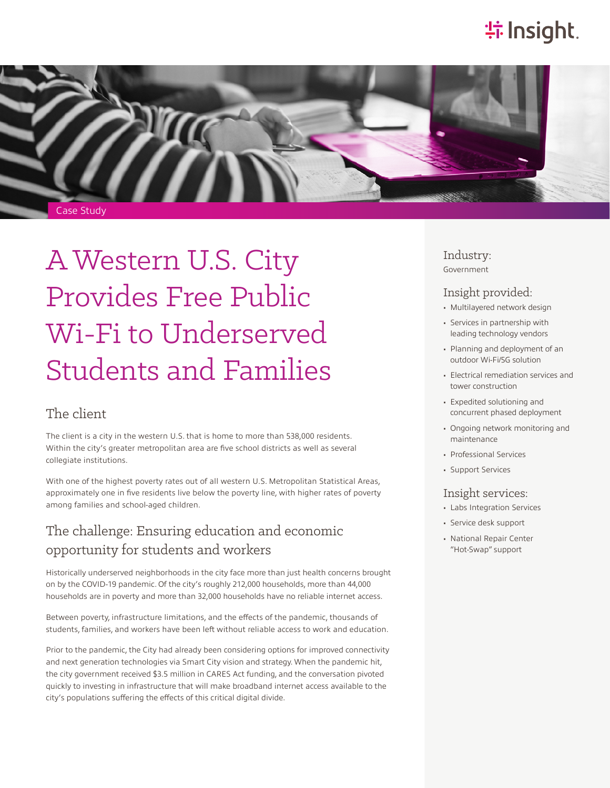# **特Insight**



# A Western U.S. City Provides Free Public Wi-Fi to Underserved Students and Families

#### The client

The client is a city in the western U.S. that is home to more than 538,000 residents. Within the city's greater metropolitan area are five school districts as well as several collegiate institutions.

With one of the highest poverty rates out of all western U.S. Metropolitan Statistical Areas, approximately one in five residents live below the poverty line, with higher rates of poverty among families and school-aged children.

#### The challenge: Ensuring education and economic opportunity for students and workers

Historically underserved neighborhoods in the city face more than just health concerns brought on by the COVID-19 pandemic. Of the city's roughly 212,000 households, more than 44,000 households are in poverty and more than 32,000 households have no reliable internet access.

Between poverty, infrastructure limitations, and the effects of the pandemic, thousands of students, families, and workers have been left without reliable access to work and education.

Prior to the pandemic, the City had already been considering options for improved connectivity and next generation technologies via Smart City vision and strategy. When the pandemic hit, the city government received \$3.5 million in CARES Act funding, and the conversation pivoted quickly to investing in infrastructure that will make broadband internet access available to the city's populations suffering the effects of this critical digital divide.

Industry: Government

#### Insight provided:

- Multilayered network design
- Services in partnership with leading technology vendors
- Planning and deployment of an outdoor Wi-Fi/5G solution
- Electrical remediation services and tower construction
- Expedited solutioning and concurrent phased deployment
- Ongoing network monitoring and maintenance
- Professional Services
- Support Services

#### Insight services:

- Labs Integration Services
- Service desk support
- National Repair Center "Hot-Swap" support